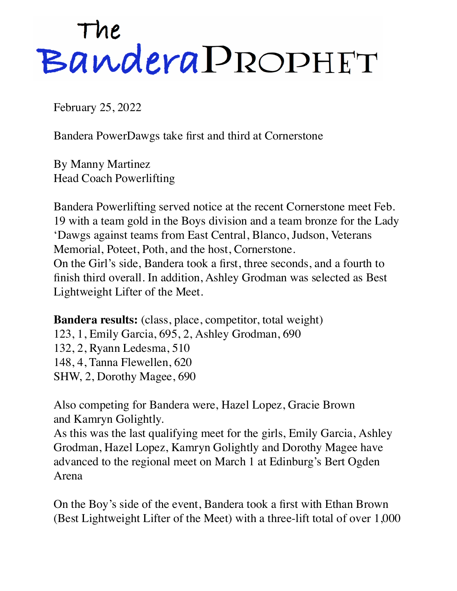## The<br>Bandera PROPHET

February 25, 2022

Bandera PowerDawgs take first and third at Cornerstone

By Manny Martinez Head Coach Powerlifting

Bandera Powerlifting served notice at the recent Cornerstone meet Feb. 19 with a team gold in the Boys division and a team bronze for the Lady 'Dawgs against teams from East Central, Blanco, Judson, Veterans Memorial, Poteet, Poth, and the host, Cornerstone. On the Girl's side, Bandera took a first, three seconds, and a fourth to finish third overall. In addition, Ashley Grodman was selected as Best Lightweight Lifter of the Meet.

**Bandera results:** (class, place, competitor, total weight) 123, 1, Emily Garcia, 695, 2, Ashley Grodman, 690 132, 2, Ryann Ledesma, 510 148, 4, Tanna Flewellen, 620 SHW, 2, Dorothy Magee, 690

Also competing for Bandera were, Hazel Lopez, Gracie Brown and Kamryn Golightly.

As this was the last qualifying meet for the girls, Emily Garcia, Ashley Grodman, Hazel Lopez, Kamryn Golightly and Dorothy Magee have advanced to the regional meet on March 1 at Edinburg's Bert Ogden Arena

On the Boy's side of the event, Bandera took a first with Ethan Brown (Best Lightweight Lifter of the Meet) with a three-lift total of over 1,000